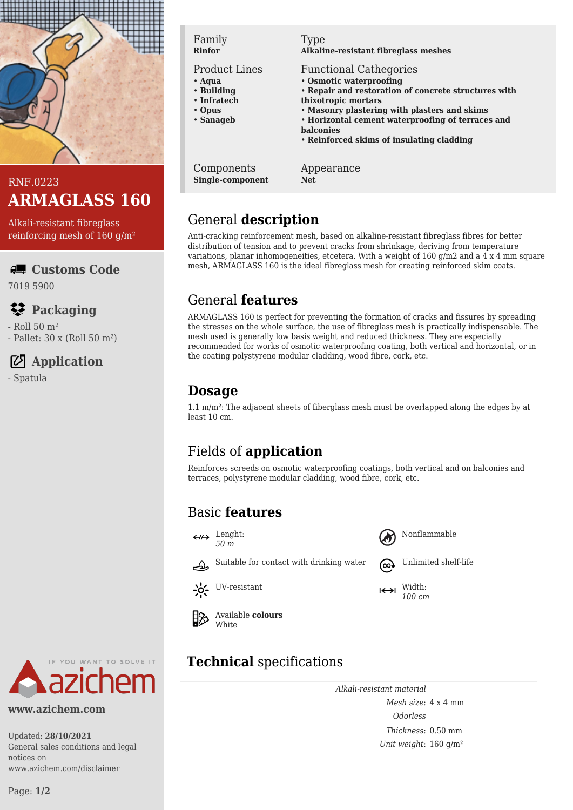

### RNF.0223 **ARMAGLASS 160**

Alkali-resistant fibreglass reinforcing mesh of 160 g/m²

**Customs Code**

7019 5900

## **Packaging**

- Roll 50 m² - Pallet: 30 x (Roll 50 m²)

## **Application**

- Spatula



#### Product Lines

- **Aqua**
- **Building** • **Infratech**
- **Opus**
- **Sanageb**
- 

Components **Single-component**

### Type

**Alkaline-resistant fibreglass meshes**

- Functional Cathegories
- **Osmotic waterproofing**
- **Repair and restoration of concrete structures with thixotropic mortars**
- **Masonry plastering with plasters and skims**
- **Horizontal cement waterproofing of terraces and balconies**
- **Reinforced skims of insulating cladding**

Appearance **Net**

## General **description**

Anti-cracking reinforcement mesh, based on alkaline-resistant fibreglass fibres for better distribution of tension and to prevent cracks from shrinkage, deriving from temperature variations, planar inhomogeneities, etcetera. With a weight of 160 g/m2 and a 4 x 4 mm square mesh, ARMAGLASS 160 is the ideal fibreglass mesh for creating reinforced skim coats.

## General **features**

ARMAGLASS 160 is perfect for preventing the formation of cracks and fissures by spreading the stresses on the whole surface, the use of fibreglass mesh is practically indispensable. The mesh used is generally low basis weight and reduced thickness. They are especially recommended for works of osmotic waterproofing coating, both vertical and horizontal, or in the coating polystyrene modular cladding, wood fibre, cork, etc.

## **Dosage**

1.1 m/m²: The adjacent sheets of fiberglass mesh must be overlapped along the edges by at least 10 cm.

# Fields of **application**

Reinforces screeds on osmotic waterproofing coatings, both vertical and on balconies and terraces, polystyrene modular cladding, wood fibre, cork, etc.

### Basic **features**

 $\xrightarrow{\text{Lengtht}}$ 









Available **colours White** 

# **Technical** specifications

*Alkali-resistant material Mesh size*: 4 x 4 mm *Odorless Thickness*: 0.50 mm *Unit weight*: 160 g/m²



**www.azichem.com**

Updated: **28/10/2021** General sales conditions and legal notices on www.azichem.com/disclaimer

Suitable for contact with drinking water  $\omega$  Unlimited shelf-life



*100 cm*



 $-6 -$